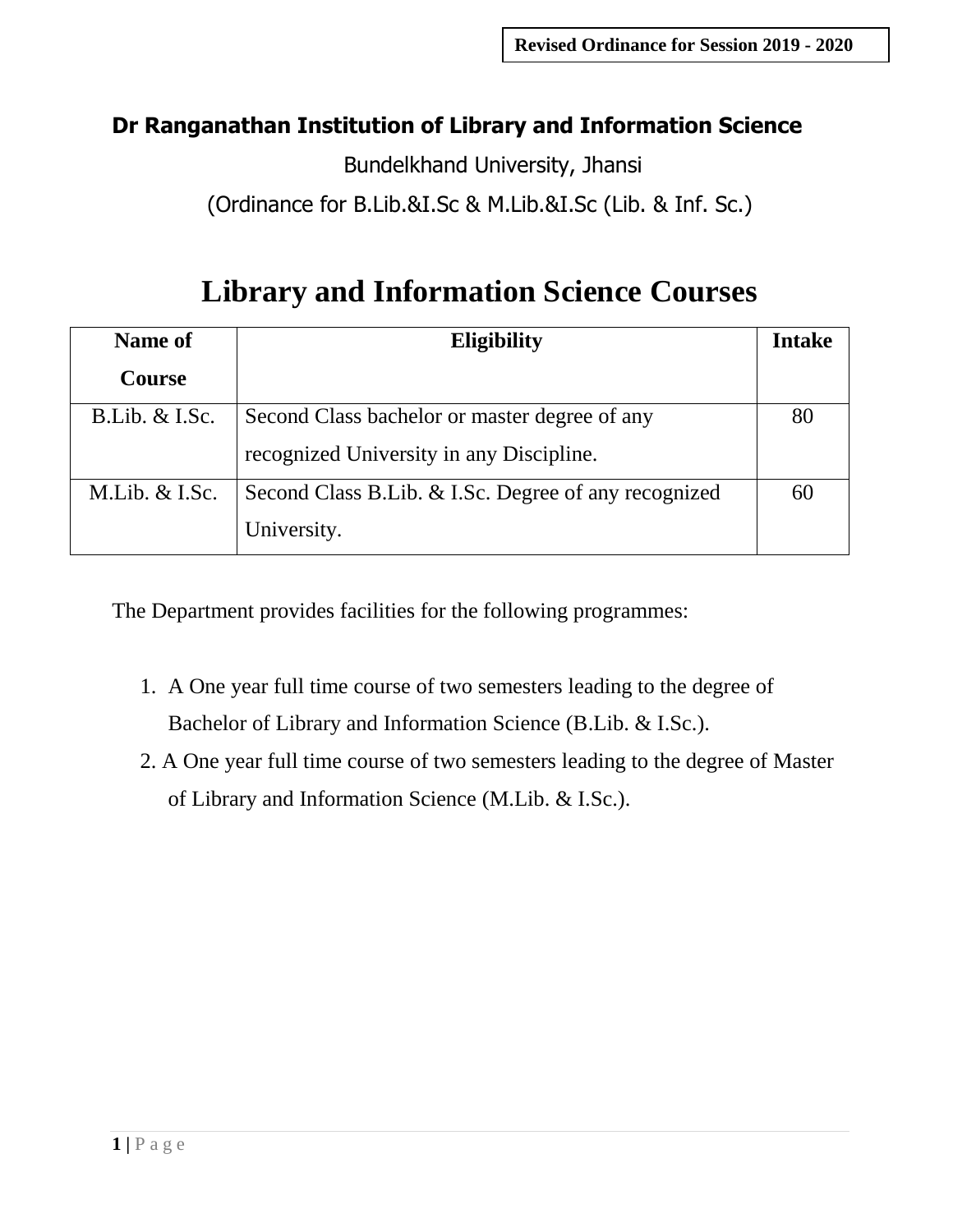# **Dr Ranganathan Institution of Library and Information Science**

Bundelkhand University, Jhansi

(Ordinance for B.Lib.&I.Sc & M.Lib.&I.Sc (Lib. & Inf. Sc.)

# **Library and Information Science Courses**

| Name of           | Eligibility                                          | <b>Intake</b> |
|-------------------|------------------------------------------------------|---------------|
| <b>Course</b>     |                                                      |               |
| $B.Lib. \& I.Sc.$ | Second Class bachelor or master degree of any        | 80            |
|                   | recognized University in any Discipline.             |               |
| $M.Lib. \& I.Sc.$ | Second Class B.Lib. & I.Sc. Degree of any recognized | 60            |
|                   | University.                                          |               |

The Department provides facilities for the following programmes:

- 1. A One year full time course of two semesters leading to the degree of Bachelor of Library and Information Science (B.Lib. & I.Sc.).
- 2. A One year full time course of two semesters leading to the degree of Master of Library and Information Science (M.Lib. & I.Sc.).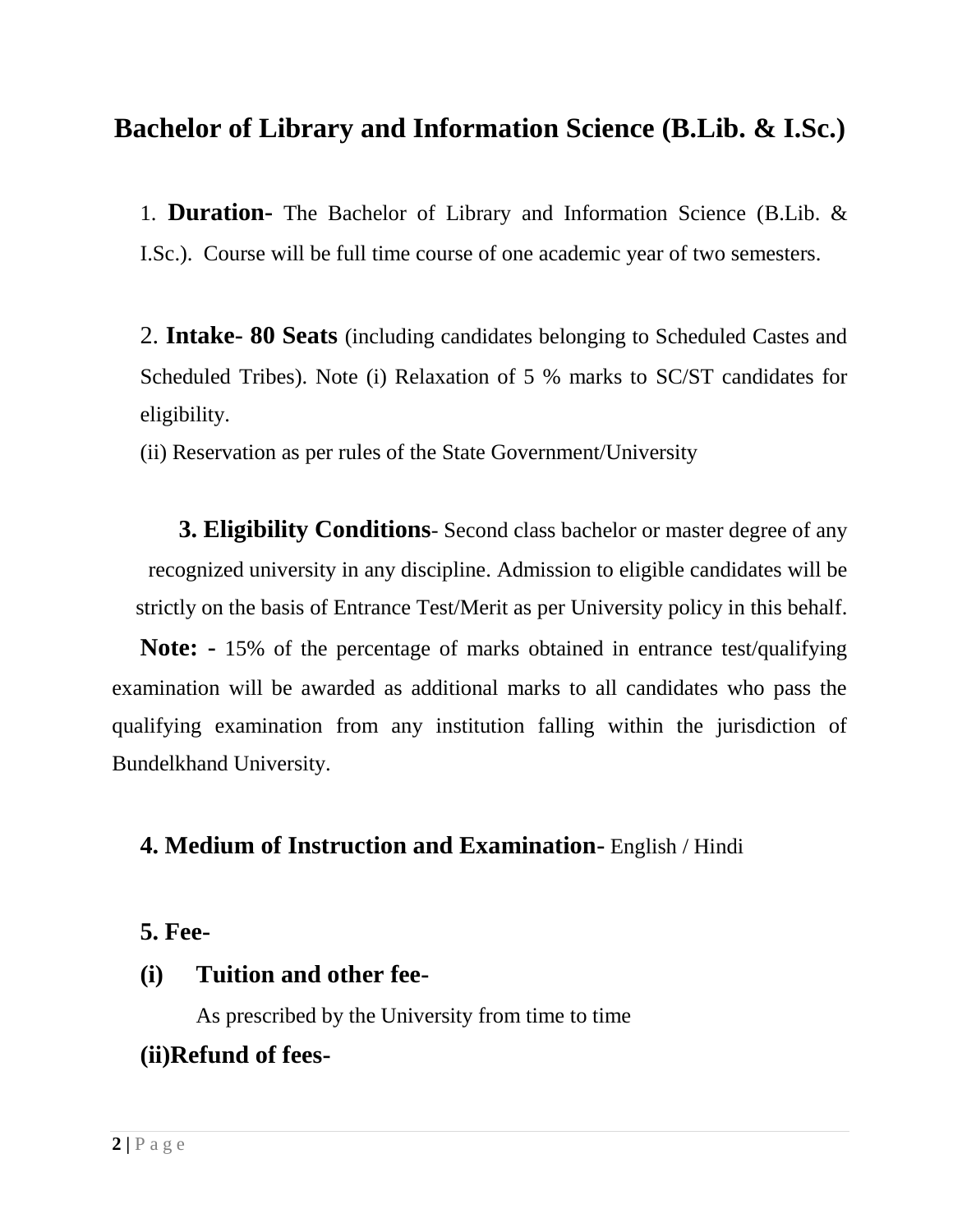# **Bachelor of Library and Information Science (B.Lib. & I.Sc.)**

1. **Duration-** The Bachelor of Library and Information Science (B.Lib. & I.Sc.). Course will be full time course of one academic year of two semesters.

2. **Intake- 80 Seats** (including candidates belonging to Scheduled Castes and Scheduled Tribes). Note (i) Relaxation of 5 % marks to SC/ST candidates for eligibility.

(ii) Reservation as per rules of the State Government/University

**3. Eligibility Conditions**- Second class bachelor or master degree of any recognized university in any discipline. Admission to eligible candidates will be strictly on the basis of Entrance Test/Merit as per University policy in this behalf.

**Note: -** 15% of the percentage of marks obtained in entrance test/qualifying examination will be awarded as additional marks to all candidates who pass the qualifying examination from any institution falling within the jurisdiction of Bundelkhand University.

#### **4. Medium of Instruction and Examination-** English / Hindi

# **5. Fee-**

#### **(i) Tuition and other fee-**

As prescribed by the University from time to time

# **(ii)Refund of fees-**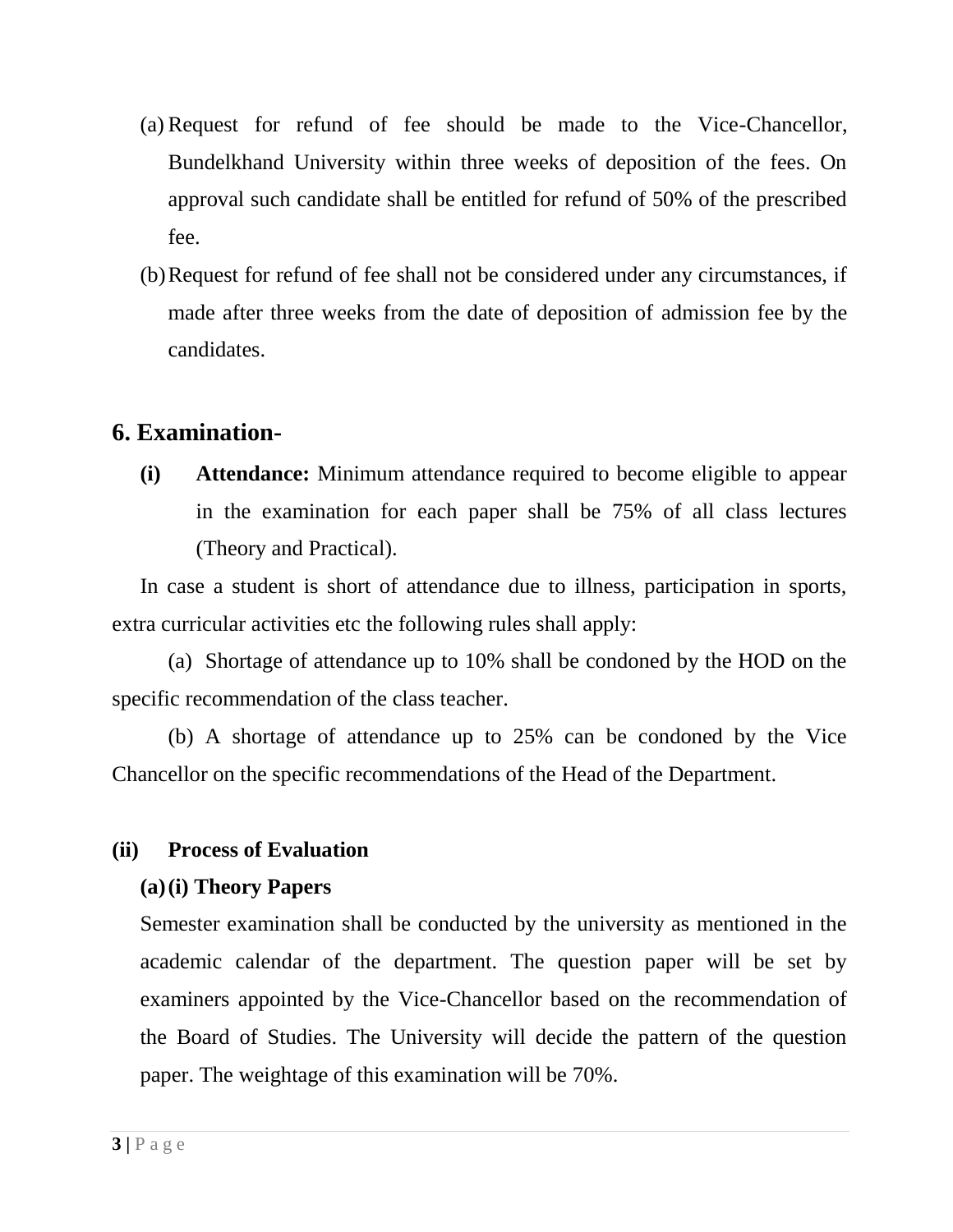- (a) Request for refund of fee should be made to the Vice-Chancellor, Bundelkhand University within three weeks of deposition of the fees. On approval such candidate shall be entitled for refund of 50% of the prescribed fee.
- (b)Request for refund of fee shall not be considered under any circumstances, if made after three weeks from the date of deposition of admission fee by the candidates.

# **6. Examination-**

**(i) Attendance:** Minimum attendance required to become eligible to appear in the examination for each paper shall be 75% of all class lectures (Theory and Practical).

In case a student is short of attendance due to illness, participation in sports, extra curricular activities etc the following rules shall apply:

(a) Shortage of attendance up to 10% shall be condoned by the HOD on the specific recommendation of the class teacher.

(b) A shortage of attendance up to 25% can be condoned by the Vice Chancellor on the specific recommendations of the Head of the Department.

#### **(ii) Process of Evaluation**

#### **(a)(i) Theory Papers**

Semester examination shall be conducted by the university as mentioned in the academic calendar of the department. The question paper will be set by examiners appointed by the Vice-Chancellor based on the recommendation of the Board of Studies. The University will decide the pattern of the question paper. The weightage of this examination will be 70%.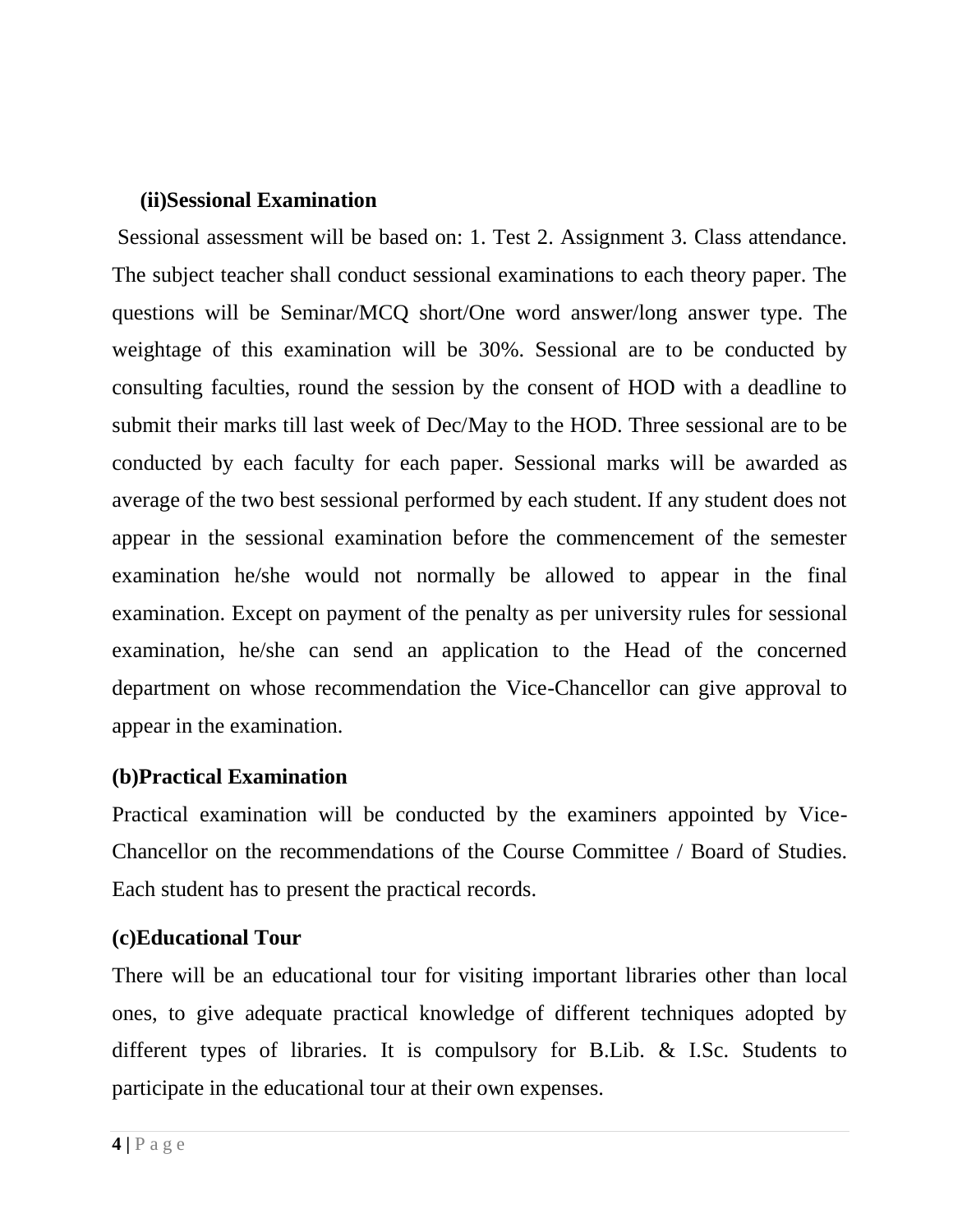#### **(ii)Sessional Examination**

Sessional assessment will be based on: 1. Test 2. Assignment 3. Class attendance. The subject teacher shall conduct sessional examinations to each theory paper. The questions will be Seminar/MCQ short/One word answer/long answer type. The weightage of this examination will be 30%. Sessional are to be conducted by consulting faculties, round the session by the consent of HOD with a deadline to submit their marks till last week of Dec/May to the HOD. Three sessional are to be conducted by each faculty for each paper. Sessional marks will be awarded as average of the two best sessional performed by each student. If any student does not appear in the sessional examination before the commencement of the semester examination he/she would not normally be allowed to appear in the final examination. Except on payment of the penalty as per university rules for sessional examination, he/she can send an application to the Head of the concerned department on whose recommendation the Vice-Chancellor can give approval to appear in the examination.

#### **(b)Practical Examination**

Practical examination will be conducted by the examiners appointed by Vice-Chancellor on the recommendations of the Course Committee / Board of Studies. Each student has to present the practical records.

#### **(c)Educational Tour**

There will be an educational tour for visiting important libraries other than local ones, to give adequate practical knowledge of different techniques adopted by different types of libraries. It is compulsory for B.Lib. & I.Sc. Students to participate in the educational tour at their own expenses.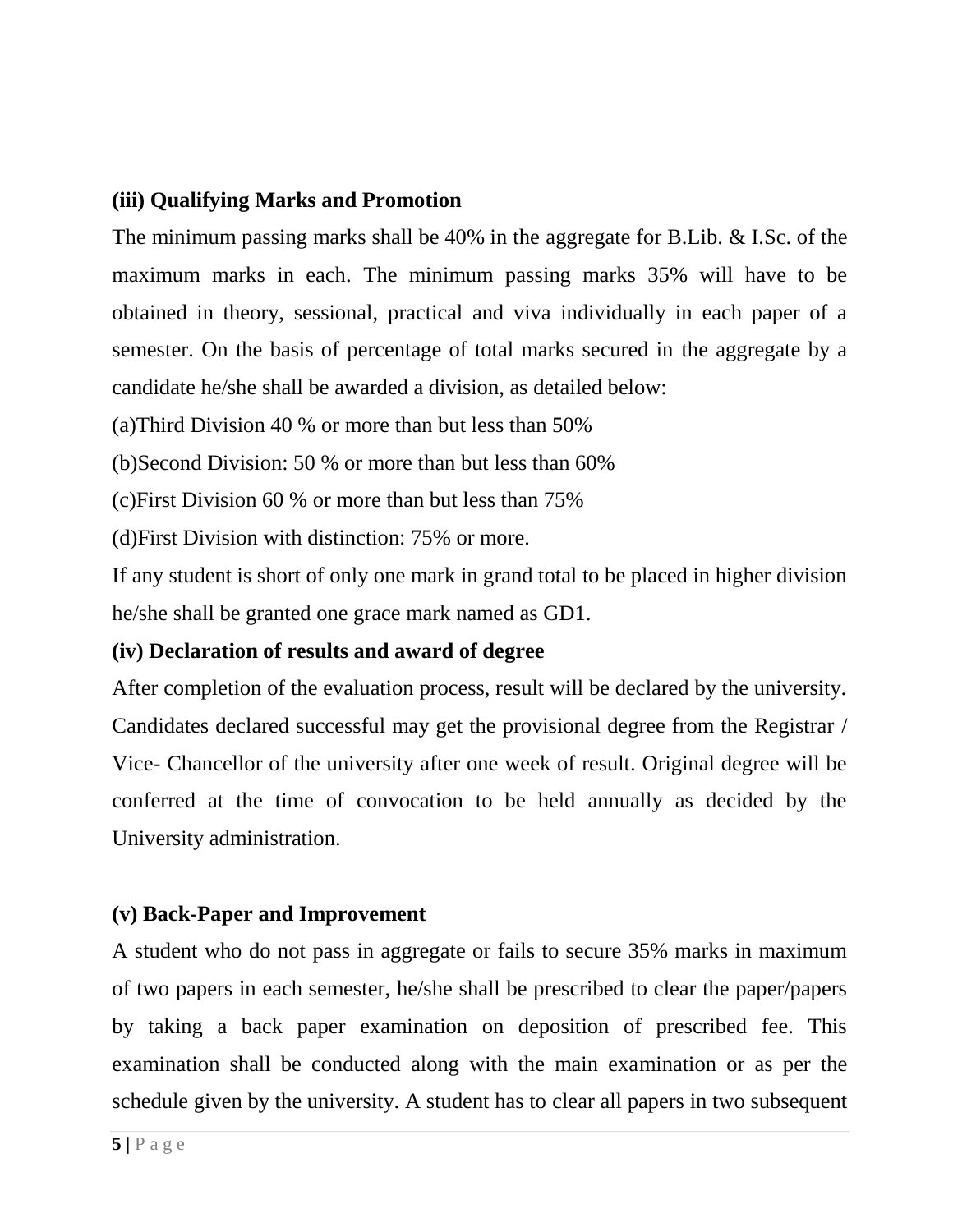#### **(iii) Qualifying Marks and Promotion**

The minimum passing marks shall be 40% in the aggregate for B.Lib. & I.Sc. of the maximum marks in each. The minimum passing marks 35% will have to be obtained in theory, sessional, practical and viva individually in each paper of a semester. On the basis of percentage of total marks secured in the aggregate by a candidate he/she shall be awarded a division, as detailed below:

(a)Third Division 40 % or more than but less than 50%

(b)Second Division: 50 % or more than but less than 60%

(c)First Division 60 % or more than but less than 75%

(d)First Division with distinction: 75% or more.

If any student is short of only one mark in grand total to be placed in higher division he/she shall be granted one grace mark named as GD1.

#### **(iv) Declaration of results and award of degree**

After completion of the evaluation process, result will be declared by the university. Candidates declared successful may get the provisional degree from the Registrar / Vice- Chancellor of the university after one week of result. Original degree will be conferred at the time of convocation to be held annually as decided by the University administration.

# **(v) Back-Paper and Improvement**

A student who do not pass in aggregate or fails to secure 35% marks in maximum of two papers in each semester, he/she shall be prescribed to clear the paper/papers by taking a back paper examination on deposition of prescribed fee. This examination shall be conducted along with the main examination or as per the schedule given by the university. A student has to clear all papers in two subsequent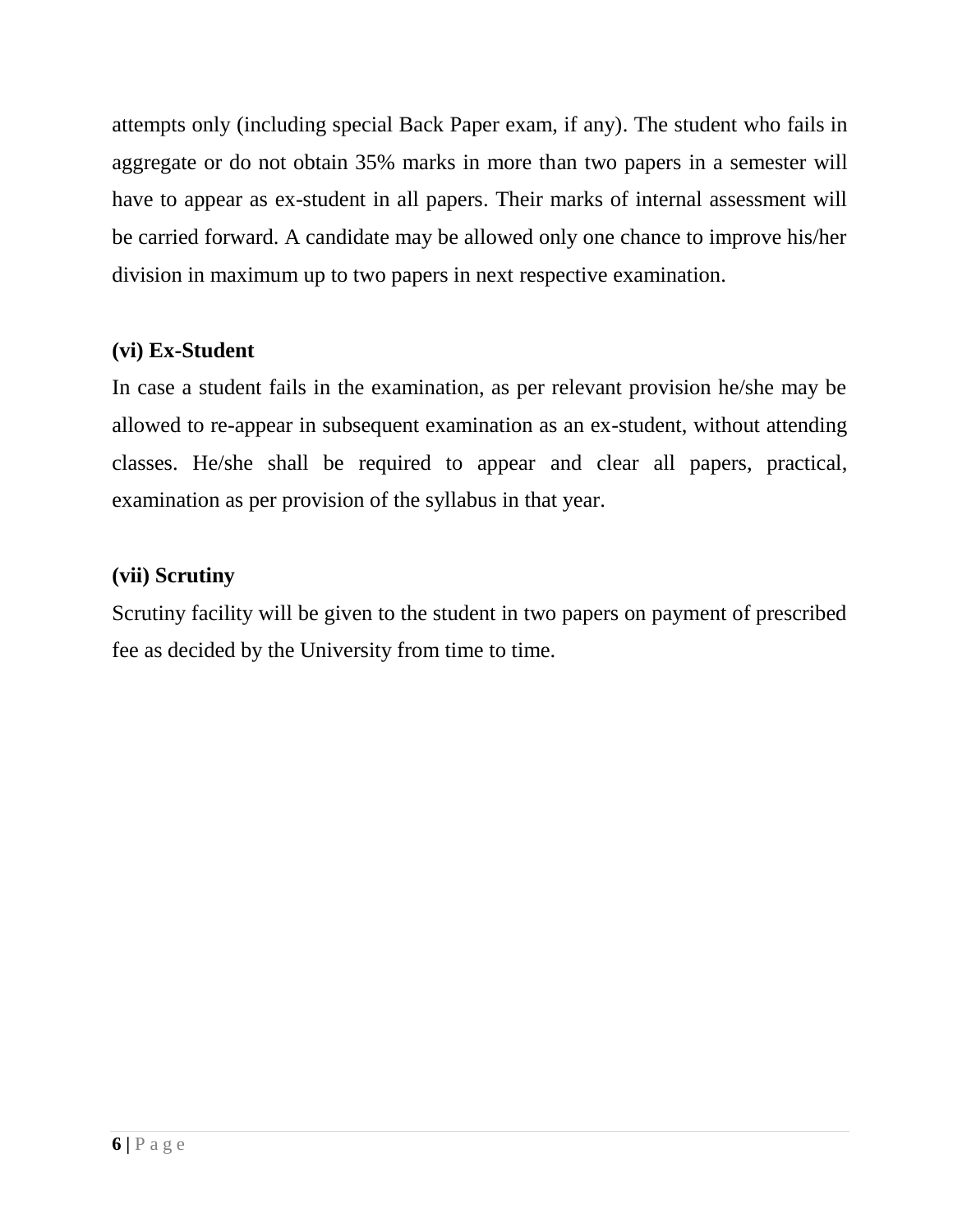attempts only (including special Back Paper exam, if any). The student who fails in aggregate or do not obtain 35% marks in more than two papers in a semester will have to appear as ex-student in all papers. Their marks of internal assessment will be carried forward. A candidate may be allowed only one chance to improve his/her division in maximum up to two papers in next respective examination.

#### **(vi) Ex-Student**

In case a student fails in the examination, as per relevant provision he/she may be allowed to re-appear in subsequent examination as an ex-student, without attending classes. He/she shall be required to appear and clear all papers, practical, examination as per provision of the syllabus in that year.

#### **(vii) Scrutiny**

Scrutiny facility will be given to the student in two papers on payment of prescribed fee as decided by the University from time to time.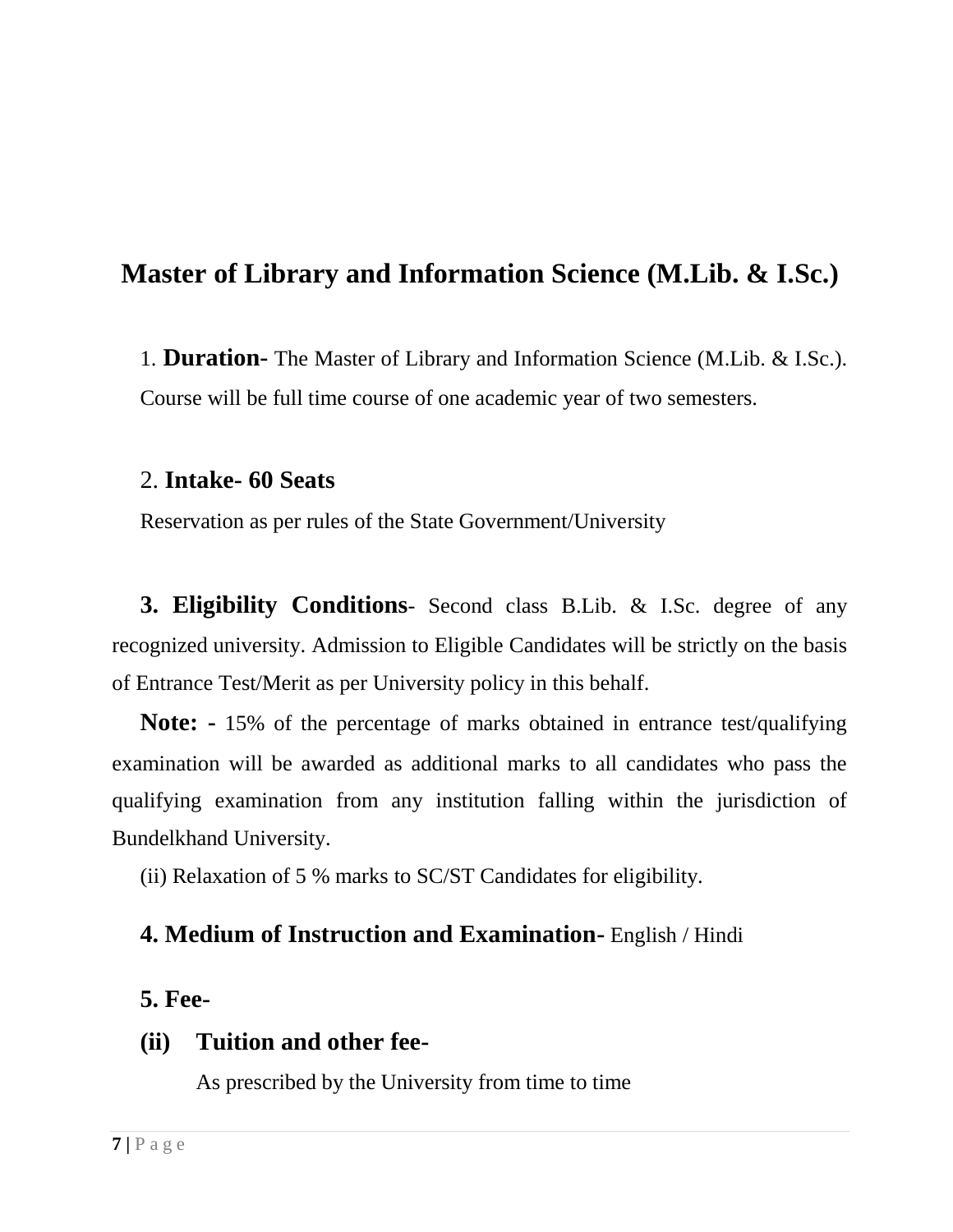# **Master of Library and Information Science (M.Lib. & I.Sc.)**

1. **Duration-** The Master of Library and Information Science (M.Lib. & I.Sc.). Course will be full time course of one academic year of two semesters.

#### 2. **Intake- 60 Seats**

Reservation as per rules of the State Government/University

**3. Eligibility Conditions**- Second class B.Lib. & I.Sc. degree of any recognized university. Admission to Eligible Candidates will be strictly on the basis of Entrance Test/Merit as per University policy in this behalf.

**Note: -** 15% of the percentage of marks obtained in entrance test/qualifying examination will be awarded as additional marks to all candidates who pass the qualifying examination from any institution falling within the jurisdiction of Bundelkhand University.

(ii) Relaxation of 5 % marks to SC/ST Candidates for eligibility.

# **4. Medium of Instruction and Examination-** English / Hindi

#### **5. Fee-**

# **(ii) Tuition and other fee-**

As prescribed by the University from time to time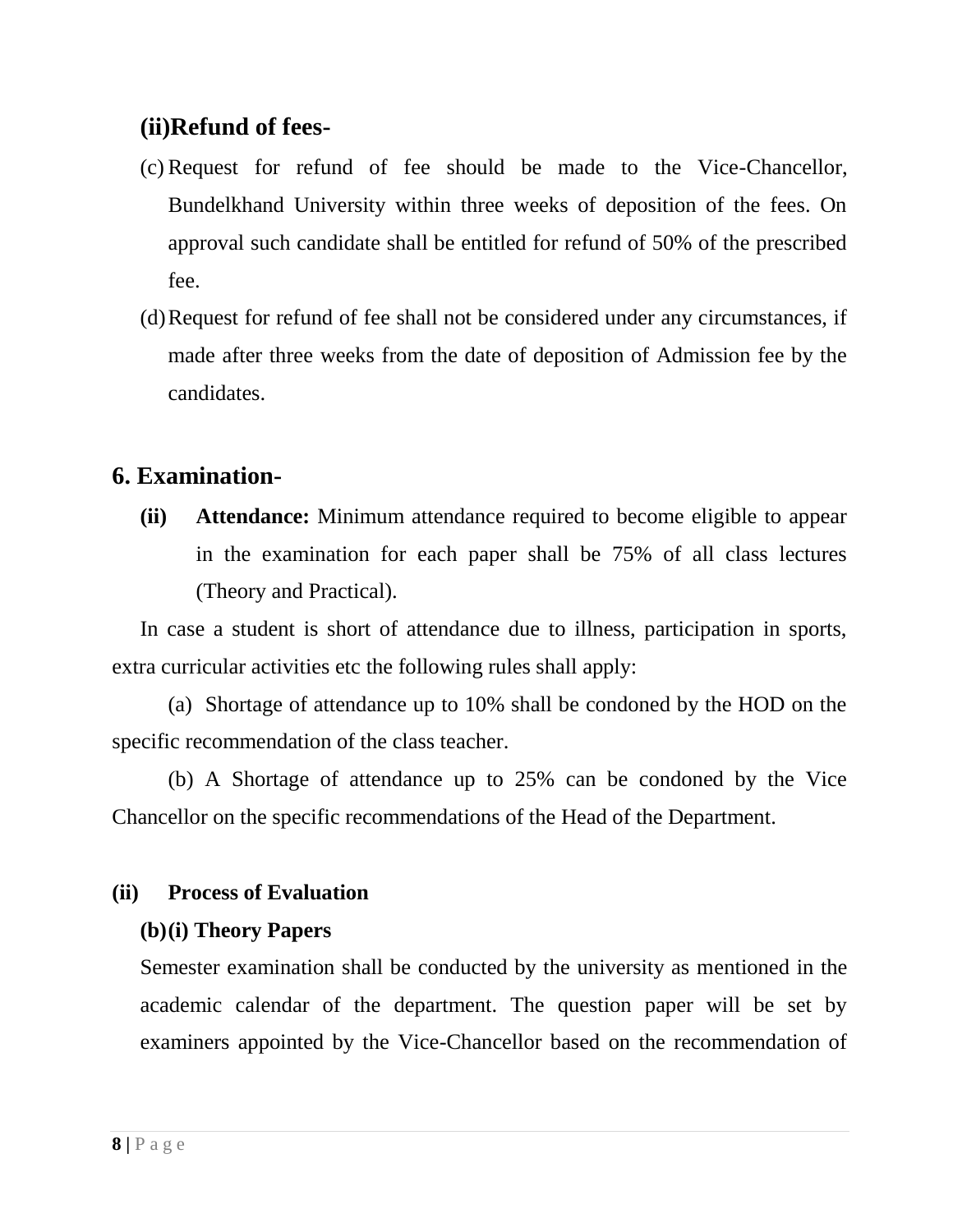# **(ii)Refund of fees-**

- (c) Request for refund of fee should be made to the Vice-Chancellor, Bundelkhand University within three weeks of deposition of the fees. On approval such candidate shall be entitled for refund of 50% of the prescribed fee.
- (d)Request for refund of fee shall not be considered under any circumstances, if made after three weeks from the date of deposition of Admission fee by the candidates.

# **6. Examination-**

**(ii) Attendance:** Minimum attendance required to become eligible to appear in the examination for each paper shall be 75% of all class lectures (Theory and Practical).

In case a student is short of attendance due to illness, participation in sports, extra curricular activities etc the following rules shall apply:

(a) Shortage of attendance up to 10% shall be condoned by the HOD on the specific recommendation of the class teacher.

(b) A Shortage of attendance up to 25% can be condoned by the Vice Chancellor on the specific recommendations of the Head of the Department.

# **(ii) Process of Evaluation**

# **(b)(i) Theory Papers**

Semester examination shall be conducted by the university as mentioned in the academic calendar of the department. The question paper will be set by examiners appointed by the Vice-Chancellor based on the recommendation of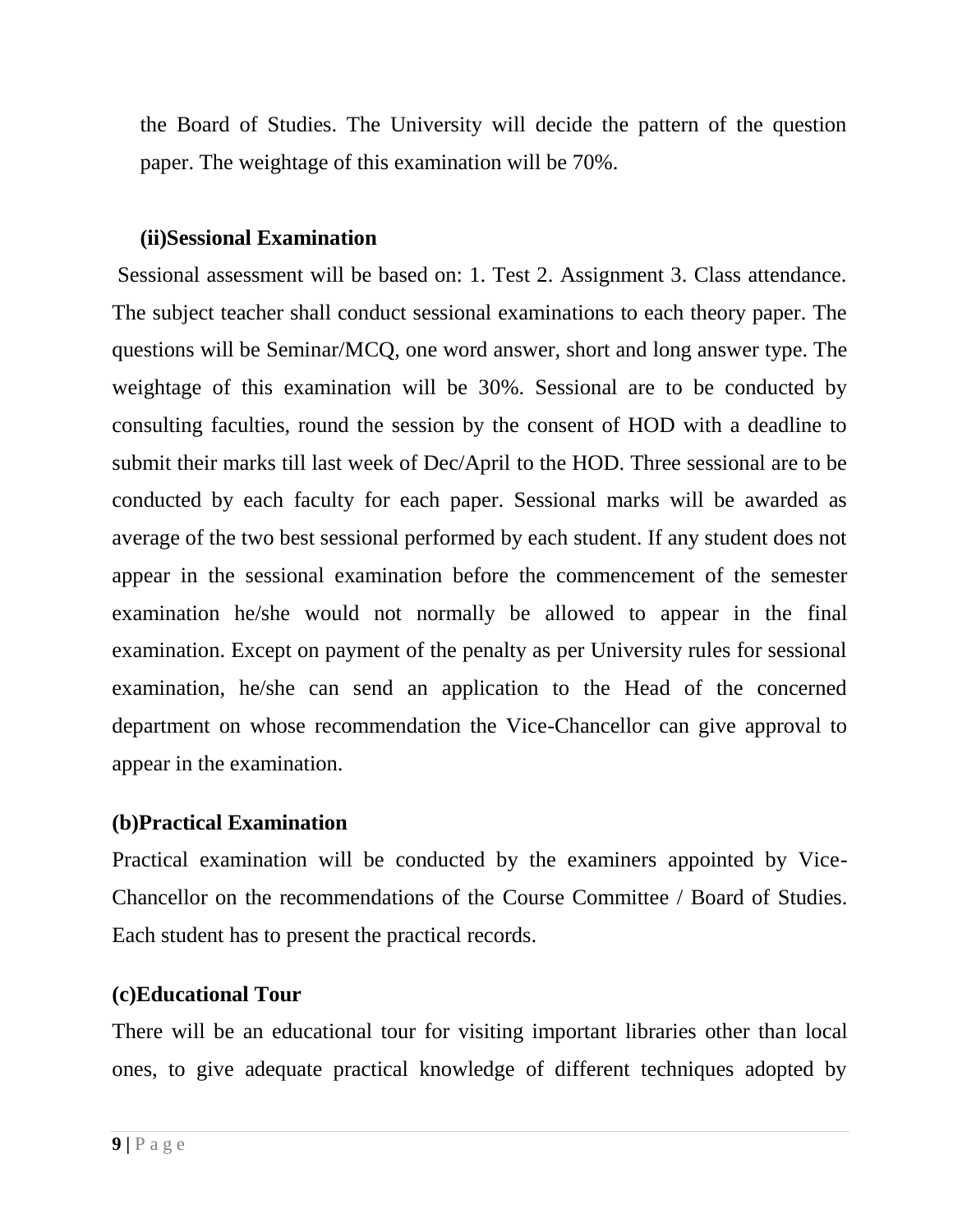the Board of Studies. The University will decide the pattern of the question paper. The weightage of this examination will be 70%.

#### **(ii)Sessional Examination**

Sessional assessment will be based on: 1. Test 2. Assignment 3. Class attendance. The subject teacher shall conduct sessional examinations to each theory paper. The questions will be Seminar/MCQ, one word answer, short and long answer type. The weightage of this examination will be 30%. Sessional are to be conducted by consulting faculties, round the session by the consent of HOD with a deadline to submit their marks till last week of Dec/April to the HOD. Three sessional are to be conducted by each faculty for each paper. Sessional marks will be awarded as average of the two best sessional performed by each student. If any student does not appear in the sessional examination before the commencement of the semester examination he/she would not normally be allowed to appear in the final examination. Except on payment of the penalty as per University rules for sessional examination, he/she can send an application to the Head of the concerned department on whose recommendation the Vice-Chancellor can give approval to appear in the examination.

#### **(b)Practical Examination**

Practical examination will be conducted by the examiners appointed by Vice-Chancellor on the recommendations of the Course Committee / Board of Studies. Each student has to present the practical records.

#### **(c)Educational Tour**

There will be an educational tour for visiting important libraries other than local ones, to give adequate practical knowledge of different techniques adopted by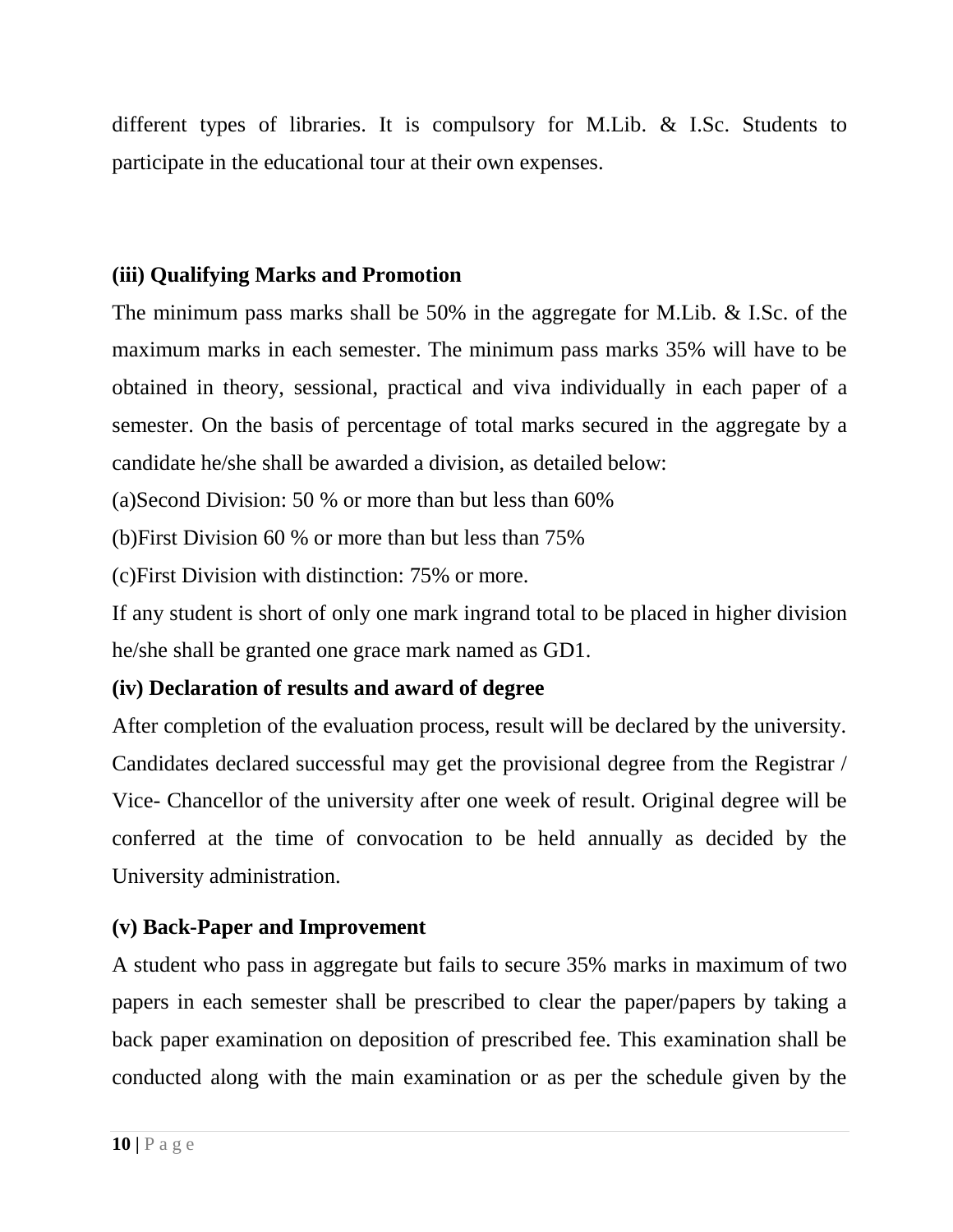different types of libraries. It is compulsory for M.Lib. & I.Sc. Students to participate in the educational tour at their own expenses.

#### **(iii) Qualifying Marks and Promotion**

The minimum pass marks shall be 50% in the aggregate for M.Lib. & I.Sc. of the maximum marks in each semester. The minimum pass marks 35% will have to be obtained in theory, sessional, practical and viva individually in each paper of a semester. On the basis of percentage of total marks secured in the aggregate by a candidate he/she shall be awarded a division, as detailed below:

(a)Second Division: 50 % or more than but less than 60%

(b)First Division 60 % or more than but less than 75%

(c)First Division with distinction: 75% or more.

If any student is short of only one mark ingrand total to be placed in higher division he/she shall be granted one grace mark named as GD1.

#### **(iv) Declaration of results and award of degree**

After completion of the evaluation process, result will be declared by the university. Candidates declared successful may get the provisional degree from the Registrar / Vice- Chancellor of the university after one week of result. Original degree will be conferred at the time of convocation to be held annually as decided by the University administration.

# **(v) Back-Paper and Improvement**

A student who pass in aggregate but fails to secure 35% marks in maximum of two papers in each semester shall be prescribed to clear the paper/papers by taking a back paper examination on deposition of prescribed fee. This examination shall be conducted along with the main examination or as per the schedule given by the